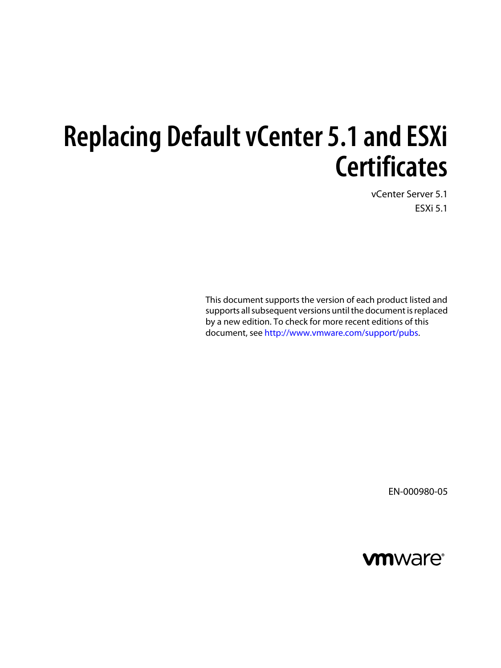# **Replacing Default vCenter 5.1 and ESXi Certificates**

vCenter Server 5.1 ESXi 5.1

This document supports the version of each product listed and supports all subsequent versions until the document is replaced by a new edition. To check for more recent editions of this document, see [http://www.vmware.com/support/pubs.](http://www.vmware.com/support/pubs)

EN-000980-05

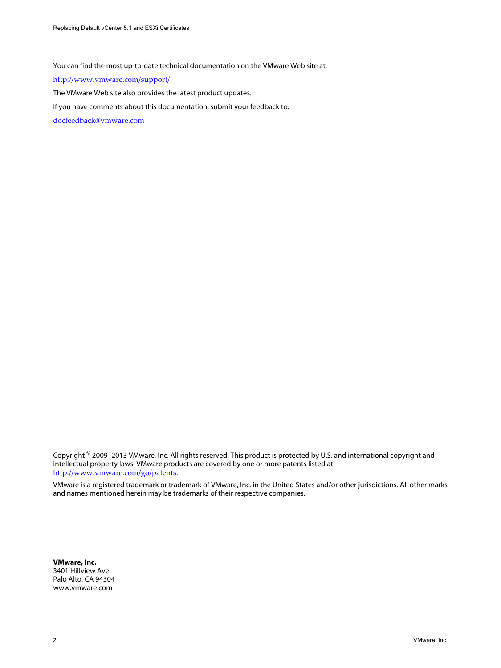You can find the most up-to-date technical documentation on the VMware Web site at:

<http://www.vmware.com/support/>

The VMware Web site also provides the latest product updates.

If you have comments about this documentation, submit your feedback to:

[docfeedback@vmware.com](mailto:docfeedback@vmware.com)

Copyright  $^\circ$  2009–2013 VMware, Inc. All rights reserved. This product is protected by U.S. and international copyright and intellectual property laws. VMware products are covered by one or more patents listed at <http://www.vmware.com/go/patents>.

VMware is a registered trademark or trademark of VMware, Inc. in the United States and/or other jurisdictions. All other marks and names mentioned herein may be trademarks of their respective companies.

**VMware, Inc.** 3401 Hillview Ave. Palo Alto, CA 94304 www.vmware.com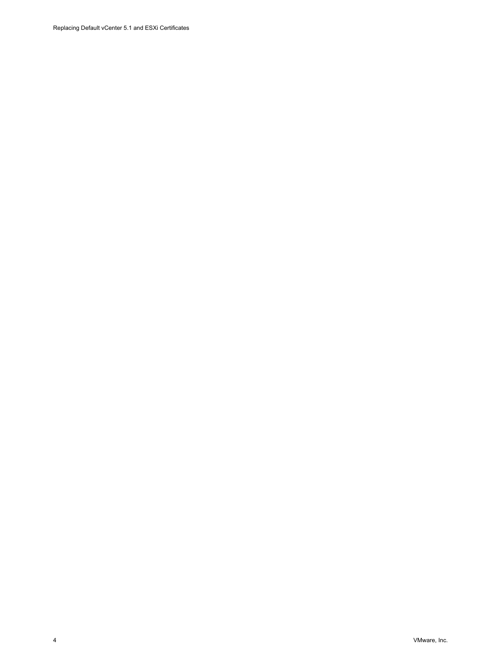Replacing Default vCenter 5.1 and ESXi Certificates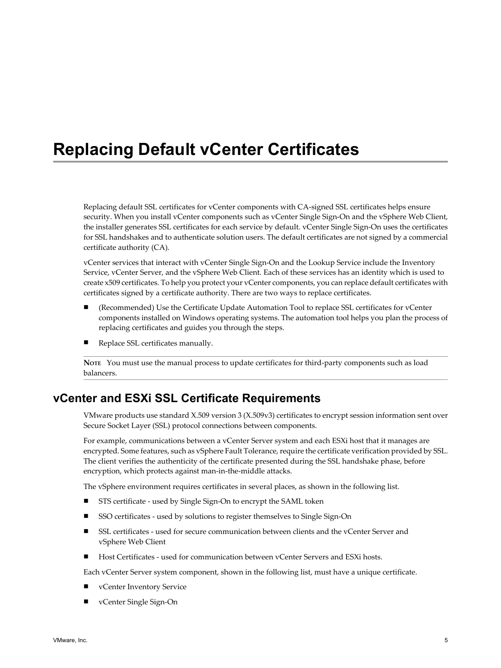# **Replacing Default vCenter Certificates**

Replacing default SSL certificates for vCenter components with CA-signed SSL certificates helps ensure security. When you install vCenter components such as vCenter Single Sign-On and the vSphere Web Client, the installer generates SSL certificates for each service by default. vCenter Single Sign-On uses the certificates for SSL handshakes and to authenticate solution users. The default certificates are not signed by a commercial certificate authority (CA).

vCenter services that interact with vCenter Single Sign-On and the Lookup Service include the Inventory Service, vCenter Server, and the vSphere Web Client. Each of these services has an identity which is used to create x509 certificates. To help you protect your vCenter components, you can replace default certificates with certificates signed by a certificate authority. There are two ways to replace certificates.

- n (Recommended) Use the Certificate Update Automation Tool to replace SSL certificates for vCenter components installed on Windows operating systems. The automation tool helps you plan the process of replacing certificates and guides you through the steps.
- Replace SSL certificates manually.

**NOTE** You must use the manual process to update certificates for third-party components such as load balancers.

# **vCenter and ESXi SSL Certificate Requirements**

VMware products use standard X.509 version 3 (X.509v3) certificates to encrypt session information sent over Secure Socket Layer (SSL) protocol connections between components.

For example, communications between a vCenter Server system and each ESXi host that it manages are encrypted. Some features, such as vSphere Fault Tolerance, require the certificate verification provided by SSL. The client verifies the authenticity of the certificate presented during the SSL handshake phase, before encryption, which protects against man-in-the-middle attacks.

The vSphere environment requires certificates in several places, as shown in the following list.

- STS certificate used by Single Sign-On to encrypt the SAML token
- n SSO certificates used by solutions to register themselves to Single Sign-On
- SSL certificates used for secure communication between clients and the vCenter Server and vSphere Web Client
- n Host Certificates used for communication between vCenter Servers and ESXi hosts.

Each vCenter Server system component, shown in the following list, must have a unique certificate.

- vCenter Inventory Service
- n vCenter Single Sign-On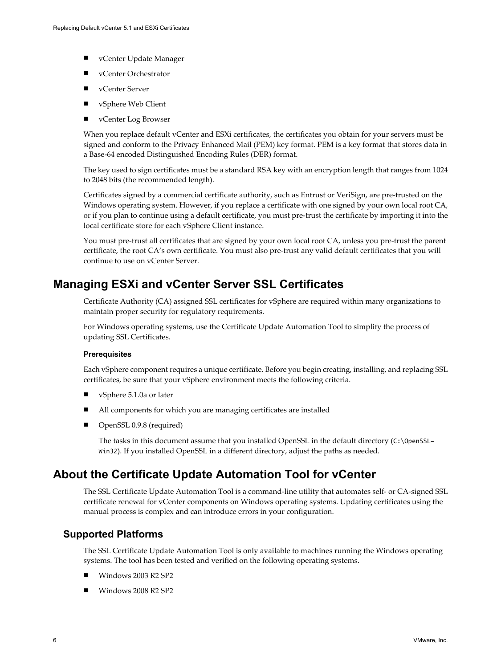- vCenter Update Manager
- vCenter Orchestrator
- vCenter Server
- vSphere Web Client
- vCenter Log Browser

When you replace default vCenter and ESXi certificates, the certificates you obtain for your servers must be signed and conform to the Privacy Enhanced Mail (PEM) key format. PEM is a key format that stores data in a Base-64 encoded Distinguished Encoding Rules (DER) format.

The key used to sign certificates must be a standard RSA key with an encryption length that ranges from 1024 to 2048 bits (the recommended length).

Certificates signed by a commercial certificate authority, such as Entrust or VeriSign, are pre-trusted on the Windows operating system. However, if you replace a certificate with one signed by your own local root CA, or if you plan to continue using a default certificate, you must pre-trust the certificate by importing it into the local certificate store for each vSphere Client instance.

You must pre-trust all certificates that are signed by your own local root CA, unless you pre-trust the parent certificate, the root CA's own certificate. You must also pre-trust any valid default certificates that you will continue to use on vCenter Server.

# **Managing ESXi and vCenter Server SSL Certificates**

Certificate Authority (CA) assigned SSL certificates for vSphere are required within many organizations to maintain proper security for regulatory requirements.

For Windows operating systems, use the Certificate Update Automation Tool to simplify the process of updating SSL Certificates.

## **Prerequisites**

Each vSphere component requires a unique certificate. Before you begin creating, installing, and replacing SSL certificates, be sure that your vSphere environment meets the following criteria.

- vSphere 5.1.0a or later
- All components for which you are managing certificates are installed
- OpenSSL 0.9.8 (required)

The tasks in this document assume that you installed OpenSSL in the default directory (C:\OpenSSL-Win32). If you installed OpenSSL in a different directory, adjust the paths as needed.

# **About the Certificate Update Automation Tool for vCenter**

The SSL Certificate Update Automation Tool is a command-line utility that automates self- or CA-signed SSL certificate renewal for vCenter components on Windows operating systems. Updating certificates using the manual process is complex and can introduce errors in your configuration.

# **Supported Platforms**

The SSL Certificate Update Automation Tool is only available to machines running the Windows operating systems. The tool has been tested and verified on the following operating systems.

- Windows 2003 R2 SP2
- Windows 2008 R2 SP2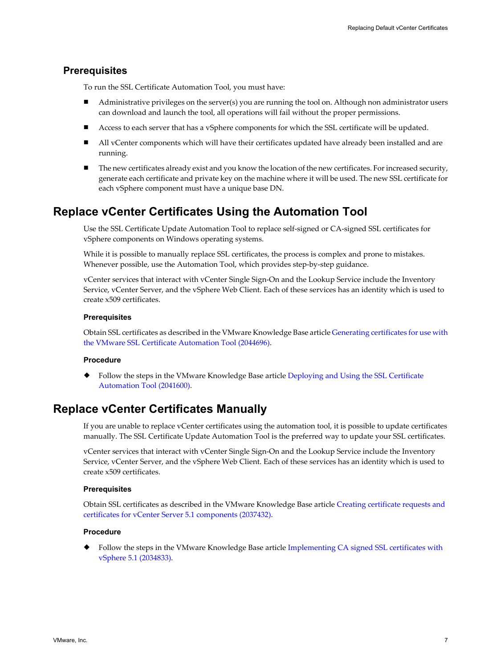# **Prerequisites**

To run the SSL Certificate Automation Tool, you must have:

- Administrative privileges on the server(s) you are running the tool on. Although non administrator users can download and launch the tool, all operations will fail without the proper permissions.
- Access to each server that has a vSphere components for which the SSL certificate will be updated.
- n All vCenter components which will have their certificates updated have already been installed and are running.
- n The new certificates already exist and you know the location of the new certificates. For increased security, generate each certificate and private key on the machine where it will be used. The new SSL certificate for each vSphere component must have a unique base DN.

# **Replace vCenter Certificates Using the Automation Tool**

Use the SSL Certificate Update Automation Tool to replace self-signed or CA-signed SSL certificates for vSphere components on Windows operating systems.

While it is possible to manually replace SSL certificates, the process is complex and prone to mistakes. Whenever possible, use the Automation Tool, which provides step-by-step guidance.

vCenter services that interact with vCenter Single Sign-On and the Lookup Service include the Inventory Service, vCenter Server, and the vSphere Web Client. Each of these services has an identity which is used to create x509 certificates.

## **Prerequisites**

Obtain SSL certificates as described in the VMware Knowledge Base article [Generating certificates for use with](http://kb.vmware.com/kb/2037432) [the VMware SSL Certificate Automation Tool \(2044696\).](http://kb.vmware.com/kb/2037432)

# **Procedure**

Follow the steps in the VMware Knowledge Base article [Deploying and Using the SSL Certificate](http://kb.vmware.com/kb/2041600) [Automation Tool \(2041600\)](http://kb.vmware.com/kb/2041600).

# **Replace vCenter Certificates Manually**

If you are unable to replace vCenter certificates using the automation tool, it is possible to update certificates manually. The SSL Certificate Update Automation Tool is the preferred way to update your SSL certificates.

vCenter services that interact with vCenter Single Sign-On and the Lookup Service include the Inventory Service, vCenter Server, and the vSphere Web Client. Each of these services has an identity which is used to create x509 certificates.

## **Prerequisites**

Obtain SSL certificates as described in the VMware Knowledge Base article [Creating certificate requests and](http://kb.vmware.com/kb/2037432) [certificates for vCenter Server 5.1 components \(2037432\)](http://kb.vmware.com/kb/2037432).

### **Procedure**

Follow the steps in the VMware Knowledge Base article [Implementing CA signed SSL certificates with](http://kb.vmware.com/kb/2034833) [vSphere 5.1 \(2034833\).](http://kb.vmware.com/kb/2034833)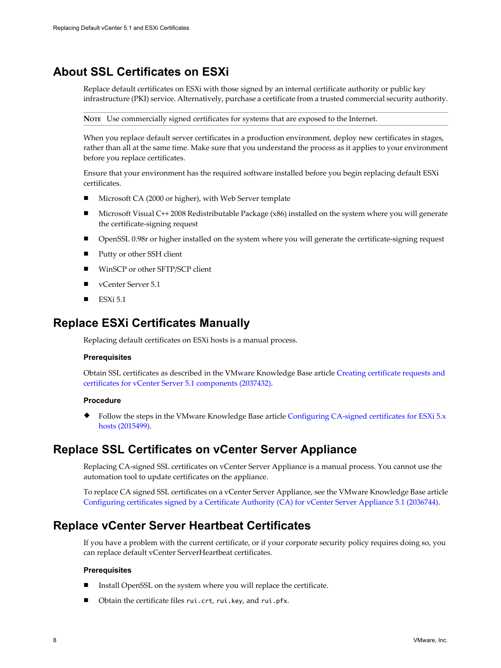# **About SSL Certificates on ESXi**

Replace default certificates on ESXi with those signed by an internal certificate authority or public key infrastructure (PKI) service. Alternatively, purchase a certificate from a trusted commercial security authority.

**NOTE** Use commercially signed certificates for systems that are exposed to the Internet.

When you replace default server certificates in a production environment, deploy new certificates in stages, rather than all at the same time. Make sure that you understand the process as it applies to your environment before you replace certificates.

Ensure that your environment has the required software installed before you begin replacing default ESXi certificates.

- Microsoft CA (2000 or higher), with Web Server template
- n Microsoft Visual C++ 2008 Redistributable Package (x86) installed on the system where you will generate the certificate-signing request
- OpenSSL 0.98r or higher installed on the system where you will generate the certificate-signing request
- Putty or other SSH client
- n WinSCP or other SFTP/SCP client
- vCenter Server 5.1
- ESX<sub>i</sub> 5.1

# **Replace ESXi Certificates Manually**

Replacing default certificates on ESXi hosts is a manual process.

## **Prerequisites**

Obtain SSL certificates as described in the VMware Knowledge Base article [Creating certificate requests and](http://kb.vmware.com/kb/2037432) [certificates for vCenter Server 5.1 components \(2037432\)](http://kb.vmware.com/kb/2037432).

### **Procedure**

Follow the steps in the VMware Knowledge Base article [Configuring CA-signed certificates for ESXi 5.x](http://kb.vmware.com/kb/2015499) [hosts \(2015499\)](http://kb.vmware.com/kb/2015499).

# **Replace SSL Certificates on vCenter Server Appliance**

Replacing CA-signed SSL certificates on vCenter Server Appliance is a manual process. You cannot use the automation tool to update certificates on the appliance.

To replace CA signed SSL certificates on a vCenter Server Appliance, see the VMware Knowledge Base article [Configuring certificates signed by a Certificate Authority \(CA\) for vCenter Server Appliance 5.1 \(2036744\).](http://kb.vmware.com/kb/2036744)

# **Replace vCenter Server Heartbeat Certificates**

If you have a problem with the current certificate, or if your corporate security policy requires doing so, you can replace default vCenter ServerHeartbeat certificates.

## **Prerequisites**

- n Install OpenSSL on the system where you will replace the certificate.
- Obtain the certificate files rui.crt, rui.key, and rui.pfx.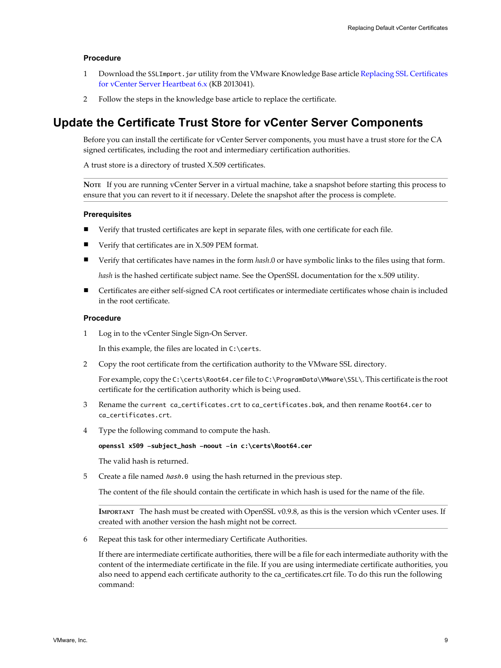## <span id="page-7-0"></span>**Procedure**

- 1 Download the SSLImport.jar utility from the VMware Knowledge Base article [Replacing SSL Certificates](http://kb.vmware.com/kb/2013041) [for vCenter Server Heartbeat 6.x](http://kb.vmware.com/kb/2013041) (KB 2013041).
- 2 Follow the steps in the knowledge base article to replace the certificate.

# **Update the Certificate Trust Store for vCenter Server Components**

Before you can install the certificate for vCenter Server components, you must have a trust store for the CA signed certificates, including the root and intermediary certification authorities.

A trust store is a directory of trusted X.509 certificates.

**NOTE** If you are running vCenter Server in a virtual machine, take a snapshot before starting this process to ensure that you can revert to it if necessary. Delete the snapshot after the process is complete.

### **Prerequisites**

- n Verify that trusted certificates are kept in separate files, with one certificate for each file.
- Verify that certificates are in X.509 PEM format.
- n Verify that certificates have names in the form *hash*.0 or have symbolic links to the files using that form.

*hash* is the hashed certificate subject name. See the OpenSSL documentation for the x.509 utility.

■ Certificates are either self-signed CA root certificates or intermediate certificates whose chain is included in the root certificate.

#### **Procedure**

1 Log in to the vCenter Single Sign-On Server.

In this example, the files are located in C:\certs.

2 Copy the root certificate from the certification authority to the VMware SSL directory.

For example, copy the C:\certs\Root64.cer file to C:\ProgramData\VMware\SSL\. This certificate is the root certificate for the certification authority which is being used.

- 3 Rename the current ca\_certificates.crt to ca\_certificates.bak, and then rename Root64.cer to ca\_certificates.crt.
- 4 Type the following command to compute the hash.

**openssl x509 -subject\_hash -noout -in c:\certs\Root64.cer**

The valid hash is returned.

5 Create a file named *hash*.0 using the hash returned in the previous step.

The content of the file should contain the certificate in which hash is used for the name of the file.

**IMPORTANT** The hash must be created with OpenSSL v0.9.8, as this is the version which vCenter uses. If created with another version the hash might not be correct.

6 Repeat this task for other intermediary Certificate Authorities.

If there are intermediate certificate authorities, there will be a file for each intermediate authority with the content of the intermediate certificate in the file. If you are using intermediate certificate authorities, you also need to append each certificate authority to the ca\_certificates.crt file. To do this run the following command: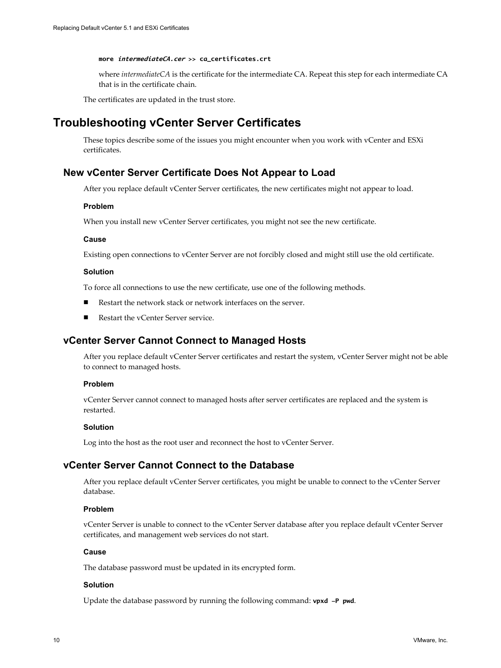#### **more intermediateCA.cer >> ca\_certificates.crt**

where *intermediateCA* is the certificate for the intermediate CA. Repeat this step for each intermediate CA that is in the certificate chain.

The certificates are updated in the trust store.

# **Troubleshooting vCenter Server Certificates**

These topics describe some of the issues you might encounter when you work with vCenter and ESXi certificates.

# **New vCenter Server Certificate Does Not Appear to Load**

After you replace default vCenter Server certificates, the new certificates might not appear to load.

## **Problem**

When you install new vCenter Server certificates, you might not see the new certificate.

# **Cause**

Existing open connections to vCenter Server are not forcibly closed and might still use the old certificate.

### **Solution**

To force all connections to use the new certificate, use one of the following methods.

- Restart the network stack or network interfaces on the server.
- Restart the vCenter Server service.

# **vCenter Server Cannot Connect to Managed Hosts**

After you replace default vCenter Server certificates and restart the system, vCenter Server might not be able to connect to managed hosts.

## **Problem**

vCenter Server cannot connect to managed hosts after server certificates are replaced and the system is restarted.

## **Solution**

Log into the host as the root user and reconnect the host to vCenter Server.

# **vCenter Server Cannot Connect to the Database**

After you replace default vCenter Server certificates, you might be unable to connect to the vCenter Server database.

### **Problem**

vCenter Server is unable to connect to the vCenter Server database after you replace default vCenter Server certificates, and management web services do not start.

# **Cause**

The database password must be updated in its encrypted form.

## **Solution**

Update the database password by running the following command: **vpxd -P pwd**.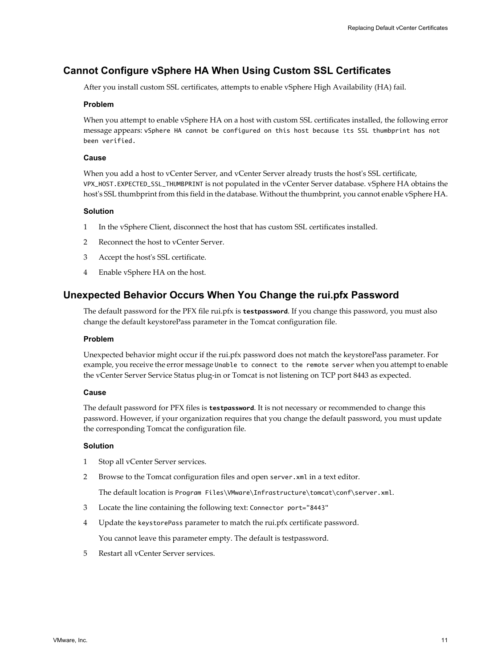# **Cannot Configure vSphere HA When Using Custom SSL Certificates**

After you install custom SSL certificates, attempts to enable vSphere High Availability (HA) fail.

# **Problem**

When you attempt to enable vSphere HA on a host with custom SSL certificates installed, the following error message appears: vSphere HA cannot be configured on this host because its SSL thumbprint has not been verified.

# **Cause**

When you add a host to vCenter Server, and vCenter Server already trusts the host's SSL certificate, VPX\_HOST.EXPECTED\_SSL\_THUMBPRINT is not populated in the vCenter Server database. vSphere HA obtains the host's SSL thumbprint from this field in the database. Without the thumbprint, you cannot enable vSphere HA.

# **Solution**

- 1 In the vSphere Client, disconnect the host that has custom SSL certificates installed.
- 2 Reconnect the host to vCenter Server.
- 3 Accept the host's SSL certificate.
- 4 Enable vSphere HA on the host.

# **Unexpected Behavior Occurs When You Change the rui.pfx Password**

The default password for the PFX file rui.pfx is **testpassword**. If you change this password, you must also change the default keystorePass parameter in the Tomcat configuration file.

# **Problem**

Unexpected behavior might occur if the rui.pfx password does not match the keystorePass parameter. For example, you receive the error message Unable to connect to the remote server when you attempt to enable the vCenter Server Service Status plug-in or Tomcat is not listening on TCP port 8443 as expected.

# **Cause**

The default password for PFX files is **testpassword**. It is not necessary or recommended to change this password. However, if your organization requires that you change the default password, you must update the corresponding Tomcat the configuration file.

# **Solution**

- 1 Stop all vCenter Server services.
- 2 Browse to the Tomcat configuration files and open server.xml in a text editor.

The default location is Program Files\VMware\Infrastructure\tomcat\conf\server.xml.

- 3 Locate the line containing the following text: Connector port="8443"
- 4 Update the keystorePass parameter to match the rui.pfx certificate password.

You cannot leave this parameter empty. The default is testpassword.

5 Restart all vCenter Server services.